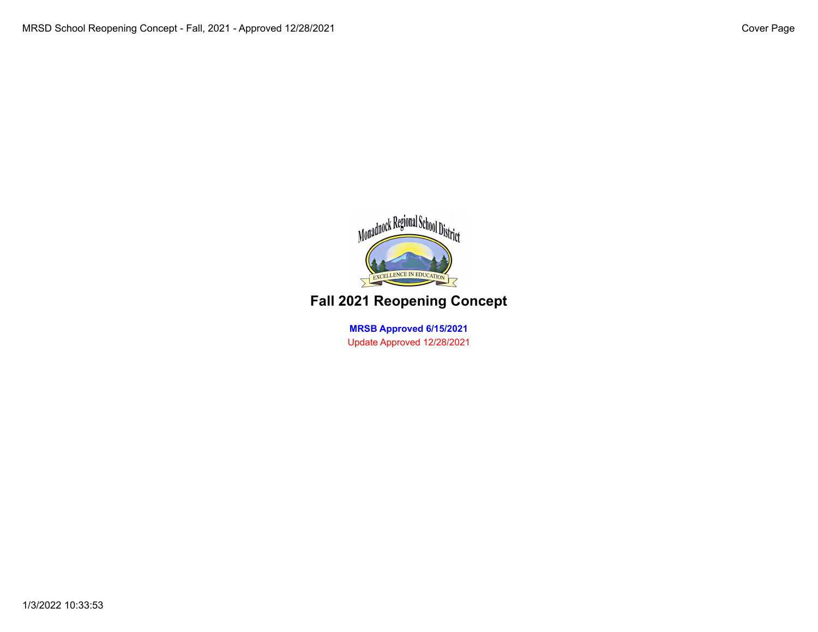

## **Fall 2021 Reopening Concept**

**MRSB Approved 6/15/2021** Update Approved 12/28/2021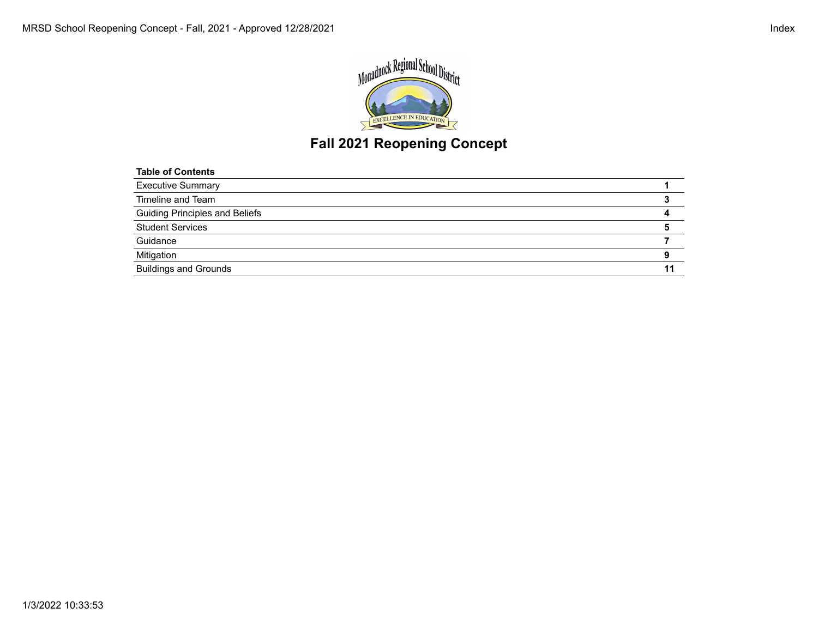



# **Fall 2021 Reopening Concept**

| <b>Table of Contents</b>              |  |
|---------------------------------------|--|
| <b>Executive Summary</b>              |  |
| Timeline and Team                     |  |
| <b>Guiding Principles and Beliefs</b> |  |
| <b>Student Services</b>               |  |
| Guidance                              |  |
| Mitigation                            |  |
| <b>Buildings and Grounds</b>          |  |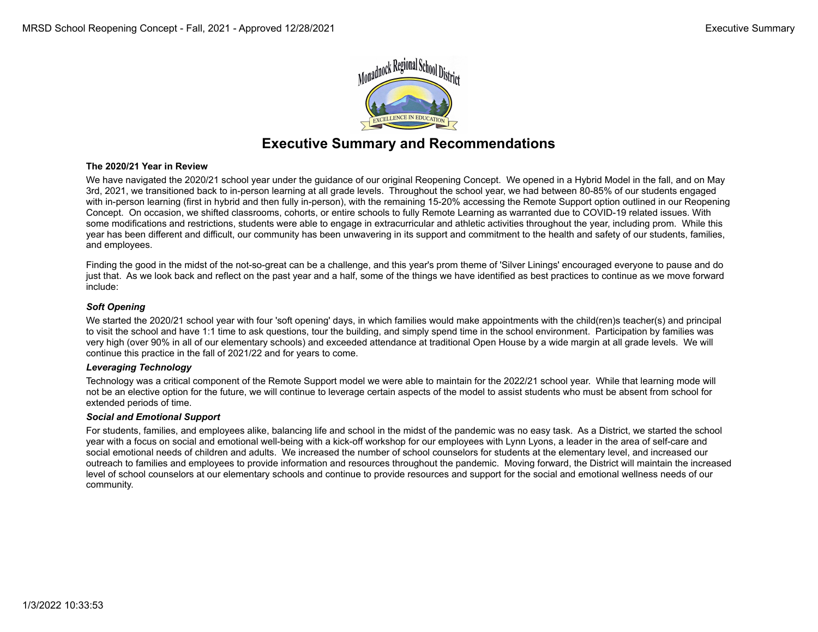

### **Executive Summary and Recommendations**

### **The 2020/21 Year in Review**

We have navigated the 2020/21 school year under the guidance of our original Reopening Concept. We opened in a Hybrid Model in the fall, and on May 3rd, 2021, we transitioned back to in-person learning at all grade levels. Throughout the school year, we had between 80-85% of our students engaged with in-person learning (first in hybrid and then fully in-person), with the remaining 15-20% accessing the Remote Support option outlined in our Reopening Concept. On occasion, we shifted classrooms, cohorts, or entire schools to fully Remote Learning as warranted due to COVID-19 related issues. With some modifications and restrictions, students were able to engage in extracurricular and athletic activities throughout the year, including prom. While this year has been different and difficult, our community has been unwavering in its support and commitment to the health and safety of our students, families, and employees.

Finding the good in the midst of the not-so-great can be a challenge, and this year's prom theme of 'Silver Linings' encouraged everyone to pause and do just that. As we look back and reflect on the past year and a half, some of the things we have identified as best practices to continue as we move forward include:

#### *Soft Opening*

We started the 2020/21 school year with four 'soft opening' days, in which families would make appointments with the child(ren)s teacher(s) and principal to visit the school and have 1:1 time to ask questions, tour the building, and simply spend time in the school environment. Participation by families was very high (over 90% in all of our elementary schools) and exceeded attendance at traditional Open House by a wide margin at all grade levels. We will continue this practice in the fall of 2021/22 and for years to come.

### *Leveraging Technology*

Technology was a critical component of the Remote Support model we were able to maintain for the 2022/21 school year. While that learning mode will not be an elective option for the future, we will continue to leverage certain aspects of the model to assist students who must be absent from school for extended periods of time.

#### *Social and Emotional Support*

For students, families, and employees alike, balancing life and school in the midst of the pandemic was no easy task. As a District, we started the school year with a focus on social and emotional well-being with a kick-off workshop for our employees with Lynn Lyons, a leader in the area of self-care and social emotional needs of children and adults. We increased the number of school counselors for students at the elementary level, and increased our outreach to families and employees to provide information and resources throughout the pandemic. Moving forward, the District will maintain the increased level of school counselors at our elementary schools and continue to provide resources and support for the social and emotional wellness needs of our community.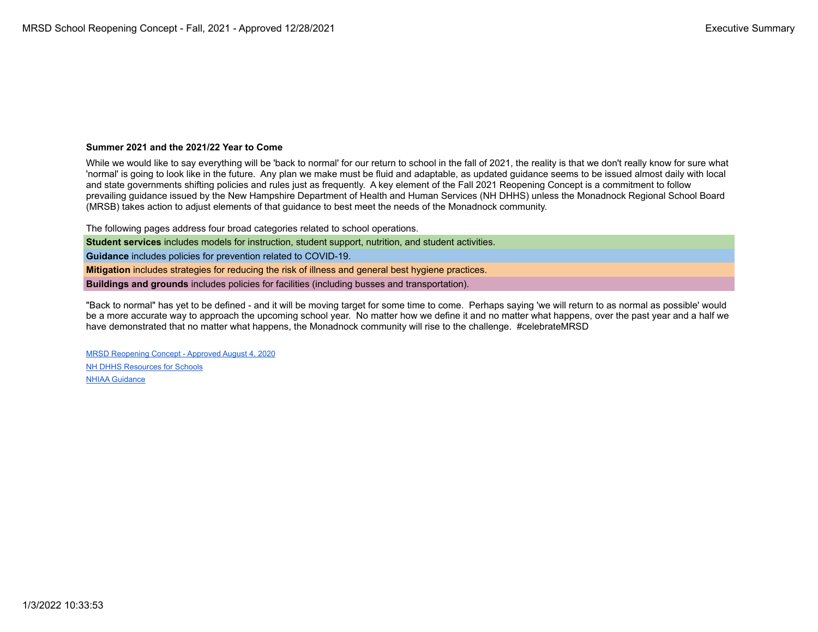### **Summer 2021 and the 2021/22 Year to Come**

While we would like to say everything will be 'back to normal' for our return to school in the fall of 2021, the reality is that we don't really know for sure what 'normal' is going to look like in the future. Any plan we make must be fluid and adaptable, as updated guidance seems to be issued almost daily with local and state governments shifting policies and rules just as frequently. A key element of the Fall 2021 Reopening Concept is a commitment to follow prevailing guidance issued by the New Hampshire Department of Health and Human Services (NH DHHS) unless the Monadnock Regional School Board (MRSB) takes action to adjust elements of that guidance to best meet the needs of the Monadnock community.

The following pages address four broad categories related to school operations.

**Student services** includes models for instruction, student support, nutrition, and student activities.

**Guidance** includes policies for prevention related to COVID-19.

**Mitigation** includes strategies for reducing the risk of illness and general best hygiene practices.

**Buildings and grounds** includes policies for facilities (including busses and transportation).

"Back to normal" has yet to be defined - and it will be moving target for some time to come. Perhaps saying 'we will return to as normal as possible' would be a more accurate way to approach the upcoming school year. No matter how we define it and no matter what happens, over the past year and a half we have demonstrated that no matter what happens, the Monadnock community will rise to the challenge. #celebrateMRSD

MRSD Reopening Concept - Approved August 4, 2020 [NH DHHS Resources for Schools](https://www.covid19.nh.gov/resources/schools) [NHIAA Guidance](http://www.nhiaa.org/sports-medicine)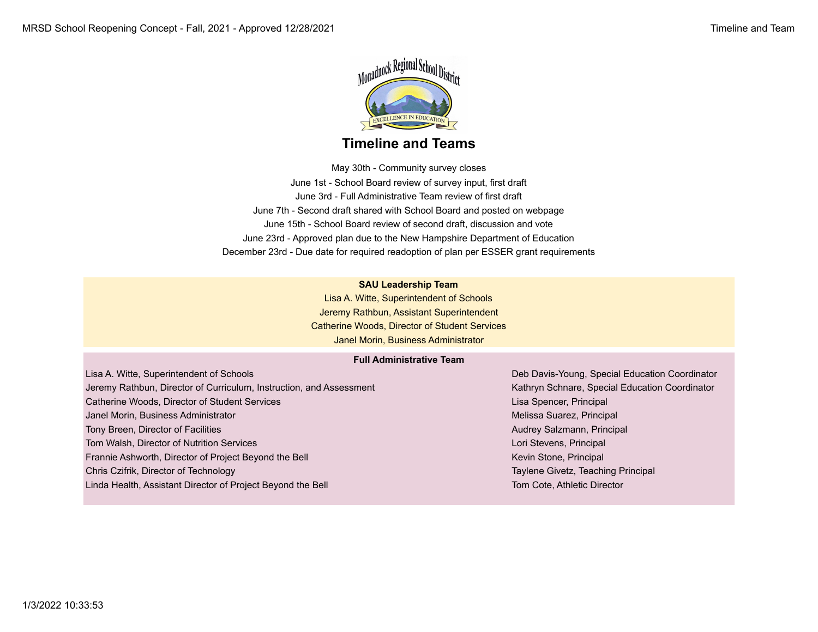

### **Timeline and Teams**

May 30th - Community survey closes June 1st - School Board review of survey input, first draft June 3rd - Full Administrative Team review of first draft June 7th - Second draft shared with School Board and posted on webpage June 15th - School Board review of second draft, discussion and vote June 23rd - Approved plan due to the New Hampshire Department of Education December 23rd - Due date for required readoption of plan per ESSER grant requirements

### **SAU Leadership Team**

Lisa A. Witte, Superintendent of Schools Jeremy Rathbun, Assistant Superintendent Catherine Woods, Director of Student Services Janel Morin, Business Administrator

### **Full Administrative Team**

Lisa A. Witte, Superintendent of Schools Deb Davis-Young, Special Education Coordinator Jeremy Rathbun, Director of Curriculum, Instruction, and Assessment Kathryn Schnare, Special Education Coordinator Catherine Woods, Director of Student Services Lisa Spencer, Principal Lisa Spencer, Principal Janel Morin, Business Administrator Melissa Suarez, Principal Melissa Suarez, Principal Tony Breen, Director of Facilities Audrey Salzmann, Principal Audrey Salzmann, Principal Tom Walsh, Director of Nutrition Services Lori Stevens, Principal Lori Stevens, Principal Frannie Ashworth, Director of Project Beyond the Bell Kevin Stone, Principal Kevin Stone, Principal Chris Czifrik, Director of Technology Taylene Givetz, Teaching Principal

Linda Health, Assistant Director of Project Beyond the Bell Tom Cote, Athletic Director Cote, Athletic Director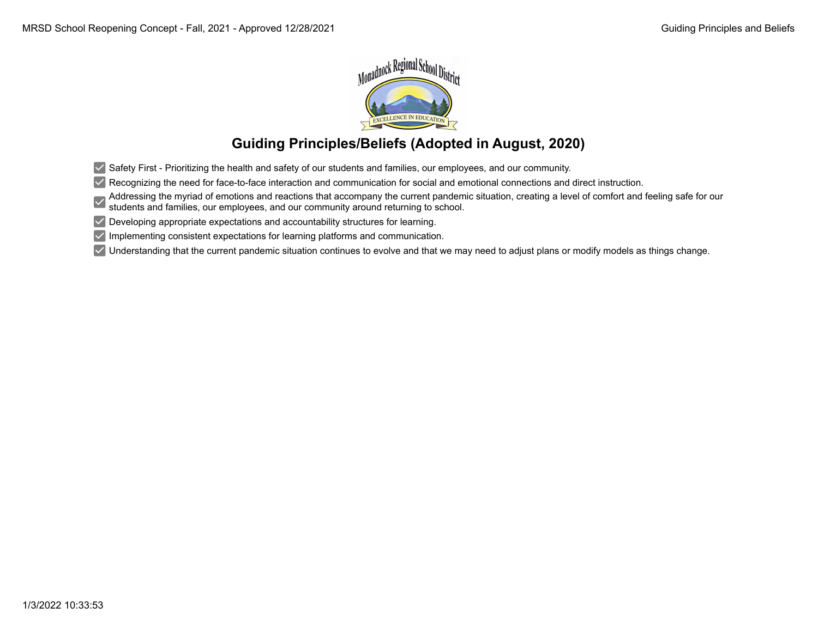

## **Guiding Principles/Beliefs (Adopted in August, 2020)**

 $\vee$  Safety First - Prioritizing the health and safety of our students and families, our employees, and our community.

 $\vee$  Recognizing the need for face-to-face interaction and communication for social and emotional connections and direct instruction.

Addressing the myriad of emotions and reactions that accompany the current pandemic situation, creating a level of comfort and feeling safe for our students and families, our employees, and our community around returning to school.

 $\vee$  Developing appropriate expectations and accountability structures for learning.

 $\vee$  Implementing consistent expectations for learning platforms and communication.

 $\vee$  Understanding that the current pandemic situation continues to evolve and that we may need to adjust plans or modify models as things change.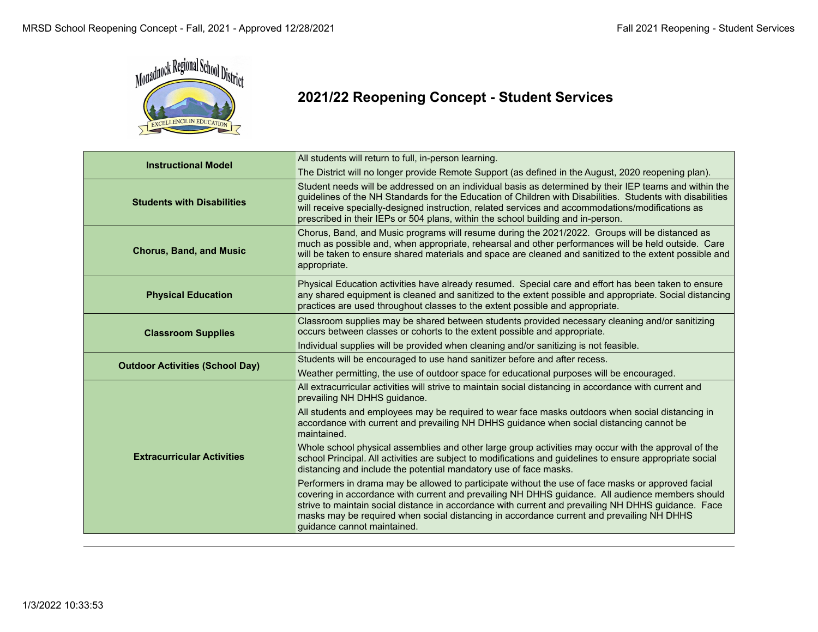

# **2021/22 Reopening Concept - Student Services**

| <b>Instructional Model</b>             | All students will return to full, in-person learning.                                                                                                                                                                                                                                                                                                                                                                                     |
|----------------------------------------|-------------------------------------------------------------------------------------------------------------------------------------------------------------------------------------------------------------------------------------------------------------------------------------------------------------------------------------------------------------------------------------------------------------------------------------------|
|                                        | The District will no longer provide Remote Support (as defined in the August, 2020 reopening plan).                                                                                                                                                                                                                                                                                                                                       |
| <b>Students with Disabilities</b>      | Student needs will be addressed on an individual basis as determined by their IEP teams and within the<br>guidelines of the NH Standards for the Education of Children with Disabilities. Students with disabilities<br>will receive specially-designed instruction, related services and accommodations/modifications as<br>prescribed in their IEPs or 504 plans, within the school building and in-person.                             |
| <b>Chorus, Band, and Music</b>         | Chorus, Band, and Music programs will resume during the 2021/2022. Groups will be distanced as<br>much as possible and, when appropriate, rehearsal and other performances will be held outside. Care<br>will be taken to ensure shared materials and space are cleaned and sanitized to the extent possible and<br>appropriate.                                                                                                          |
| <b>Physical Education</b>              | Physical Education activities have already resumed. Special care and effort has been taken to ensure<br>any shared equipment is cleaned and sanitized to the extent possible and appropriate. Social distancing<br>practices are used throughout classes to the extent possible and appropriate.                                                                                                                                          |
| <b>Classroom Supplies</b>              | Classroom supplies may be shared between students provided necessary cleaning and/or sanitizing<br>occurs between classes or cohorts to the extent possible and appropriate.                                                                                                                                                                                                                                                              |
|                                        | Individual supplies will be provided when cleaning and/or sanitizing is not feasible.                                                                                                                                                                                                                                                                                                                                                     |
|                                        | Students will be encouraged to use hand sanitizer before and after recess.                                                                                                                                                                                                                                                                                                                                                                |
| <b>Outdoor Activities (School Day)</b> | Weather permitting, the use of outdoor space for educational purposes will be encouraged.                                                                                                                                                                                                                                                                                                                                                 |
|                                        | All extracurricular activities will strive to maintain social distancing in accordance with current and<br>prevailing NH DHHS guidance.                                                                                                                                                                                                                                                                                                   |
|                                        | All students and employees may be required to wear face masks outdoors when social distancing in<br>accordance with current and prevailing NH DHHS guidance when social distancing cannot be<br>maintained.                                                                                                                                                                                                                               |
| <b>Extracurricular Activities</b>      | Whole school physical assemblies and other large group activities may occur with the approval of the<br>school Principal. All activities are subject to modifications and guidelines to ensure appropriate social<br>distancing and include the potential mandatory use of face masks.                                                                                                                                                    |
|                                        | Performers in drama may be allowed to participate without the use of face masks or approved facial<br>covering in accordance with current and prevailing NH DHHS guidance. All audience members should<br>strive to maintain social distance in accordance with current and prevailing NH DHHS guidance. Face<br>masks may be required when social distancing in accordance current and prevailing NH DHHS<br>guidance cannot maintained. |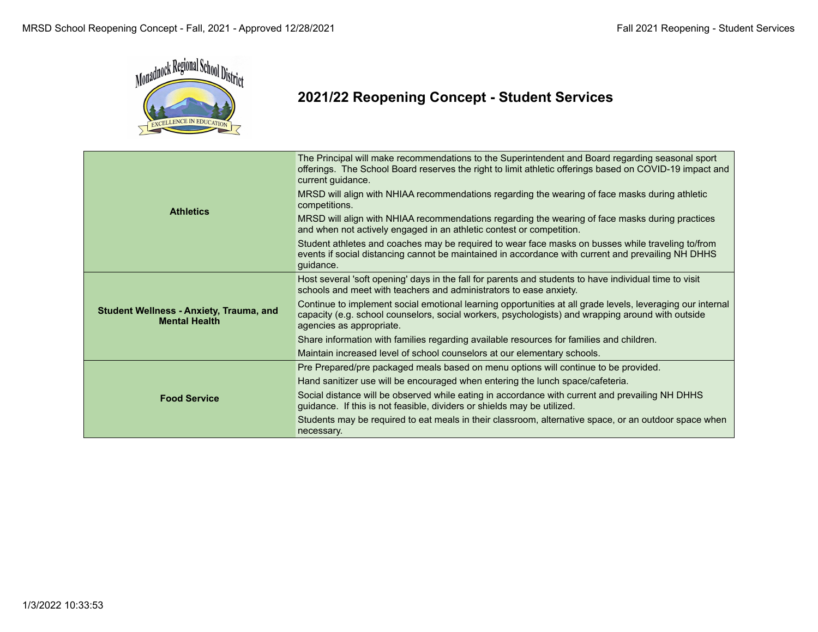

# **2021/22 Reopening Concept - Student Services**

| <b>Athletics</b>                                                       | The Principal will make recommendations to the Superintendent and Board regarding seasonal sport<br>offerings. The School Board reserves the right to limit athletic offerings based on COVID-19 impact and<br>current guidance.            |
|------------------------------------------------------------------------|---------------------------------------------------------------------------------------------------------------------------------------------------------------------------------------------------------------------------------------------|
|                                                                        | MRSD will align with NHIAA recommendations regarding the wearing of face masks during athletic<br>competitions.                                                                                                                             |
|                                                                        | MRSD will align with NHIAA recommendations regarding the wearing of face masks during practices<br>and when not actively engaged in an athletic contest or competition.                                                                     |
|                                                                        | Student athletes and coaches may be required to wear face masks on busses while traveling to/from<br>events if social distancing cannot be maintained in accordance with current and prevailing NH DHHS<br>guidance.                        |
| <b>Student Wellness - Anxiety, Trauma, and</b><br><b>Mental Health</b> | Host several 'soft opening' days in the fall for parents and students to have individual time to visit<br>schools and meet with teachers and administrators to ease anxiety.                                                                |
|                                                                        | Continue to implement social emotional learning opportunities at all grade levels, leveraging our internal<br>capacity (e.g. school counselors, social workers, psychologists) and wrapping around with outside<br>agencies as appropriate. |
|                                                                        | Share information with families regarding available resources for families and children.                                                                                                                                                    |
|                                                                        | Maintain increased level of school counselors at our elementary schools.                                                                                                                                                                    |
| <b>Food Service</b>                                                    | Pre Prepared/pre packaged meals based on menu options will continue to be provided.                                                                                                                                                         |
|                                                                        | Hand sanitizer use will be encouraged when entering the lunch space/cafeteria.                                                                                                                                                              |
|                                                                        | Social distance will be observed while eating in accordance with current and prevailing NH DHHS<br>guidance. If this is not feasible, dividers or shields may be utilized.                                                                  |
|                                                                        | Students may be required to eat meals in their classroom, alternative space, or an outdoor space when<br>necessary.                                                                                                                         |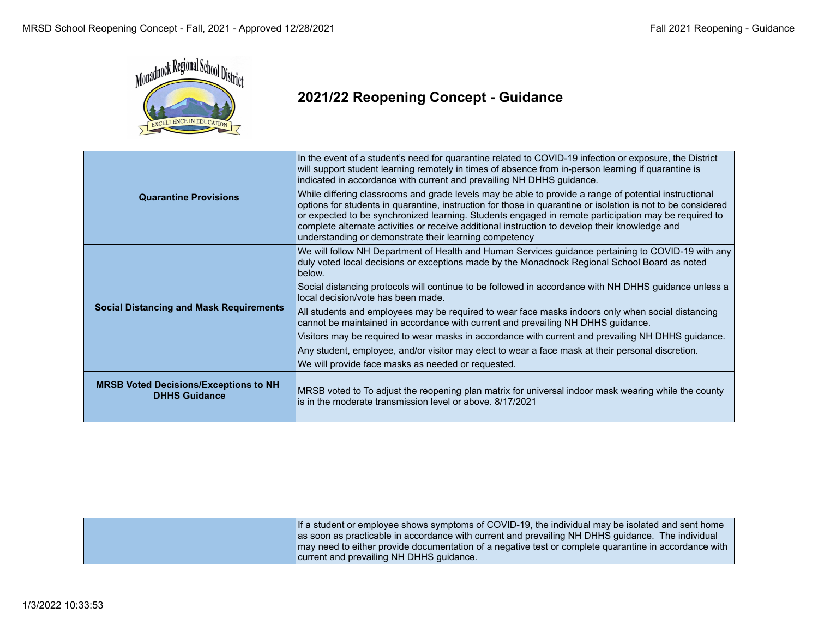

### **2021/22 Reopening Concept - Guidance**

|                                                                      | In the event of a student's need for quarantine related to COVID-19 infection or exposure, the District<br>will support student learning remotely in times of absence from in-person learning if quarantine is<br>indicated in accordance with current and prevailing NH DHHS guidance.                                                                                                                                                                                                   |
|----------------------------------------------------------------------|-------------------------------------------------------------------------------------------------------------------------------------------------------------------------------------------------------------------------------------------------------------------------------------------------------------------------------------------------------------------------------------------------------------------------------------------------------------------------------------------|
| <b>Quarantine Provisions</b>                                         | While differing classrooms and grade levels may be able to provide a range of potential instructional<br>options for students in quarantine, instruction for those in quarantine or isolation is not to be considered<br>or expected to be synchronized learning. Students engaged in remote participation may be required to<br>complete alternate activities or receive additional instruction to develop their knowledge and<br>understanding or demonstrate their learning competency |
| <b>Social Distancing and Mask Requirements</b>                       | We will follow NH Department of Health and Human Services guidance pertaining to COVID-19 with any<br>duly voted local decisions or exceptions made by the Monadnock Regional School Board as noted<br>below.                                                                                                                                                                                                                                                                             |
|                                                                      | Social distancing protocols will continue to be followed in accordance with NH DHHS guidance unless a<br>local decision/vote has been made.                                                                                                                                                                                                                                                                                                                                               |
|                                                                      | All students and employees may be required to wear face masks indoors only when social distancing<br>cannot be maintained in accordance with current and prevailing NH DHHS guidance.                                                                                                                                                                                                                                                                                                     |
|                                                                      | Visitors may be required to wear masks in accordance with current and prevailing NH DHHS guidance.                                                                                                                                                                                                                                                                                                                                                                                        |
|                                                                      | Any student, employee, and/or visitor may elect to wear a face mask at their personal discretion.                                                                                                                                                                                                                                                                                                                                                                                         |
|                                                                      | We will provide face masks as needed or requested.                                                                                                                                                                                                                                                                                                                                                                                                                                        |
| <b>MRSB Voted Decisions/Exceptions to NH</b><br><b>DHHS Guidance</b> | MRSB voted to To adjust the reopening plan matrix for universal indoor mask wearing while the county<br>is in the moderate transmission level or above, 8/17/2021                                                                                                                                                                                                                                                                                                                         |

If a student or employee shows symptoms of COVID-19, the individual may be isolated and sent home as soon as practicable in accordance with current and prevailing NH DHHS guidance. The individual may need to either provide documentation of a negative test or complete quarantine in accordance with current and prevailing NH DHHS guidance.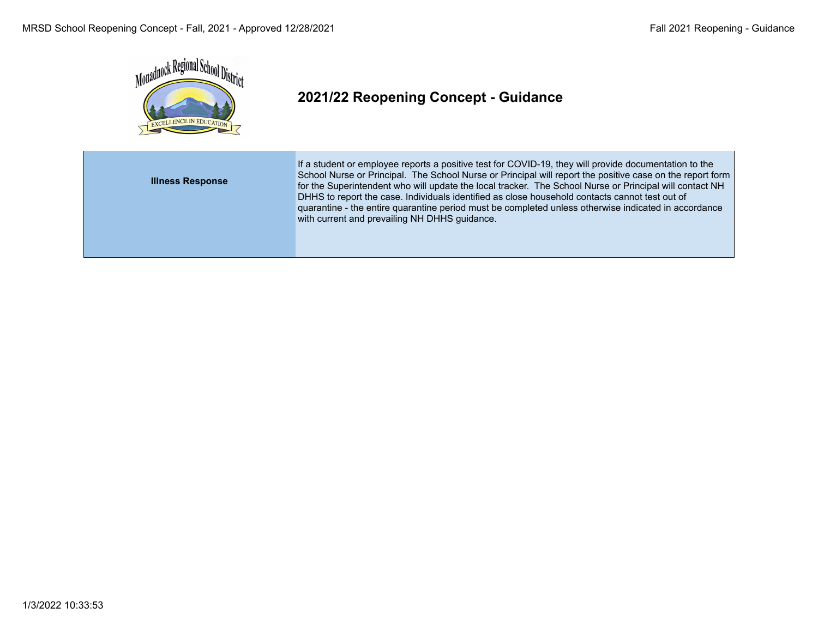

# **2021/22 Reopening Concept - Guidance**

| <b>Illness Response</b> | If a student or employee reports a positive test for COVID-19, they will provide documentation to the<br>School Nurse or Principal. The School Nurse or Principal will report the positive case on the report form<br>for the Superintendent who will update the local tracker. The School Nurse or Principal will contact NH<br>DHHS to report the case. Individuals identified as close household contacts cannot test out of<br>quarantine - the entire quarantine period must be completed unless otherwise indicated in accordance<br>with current and prevailing NH DHHS guidance. |
|-------------------------|------------------------------------------------------------------------------------------------------------------------------------------------------------------------------------------------------------------------------------------------------------------------------------------------------------------------------------------------------------------------------------------------------------------------------------------------------------------------------------------------------------------------------------------------------------------------------------------|
|                         |                                                                                                                                                                                                                                                                                                                                                                                                                                                                                                                                                                                          |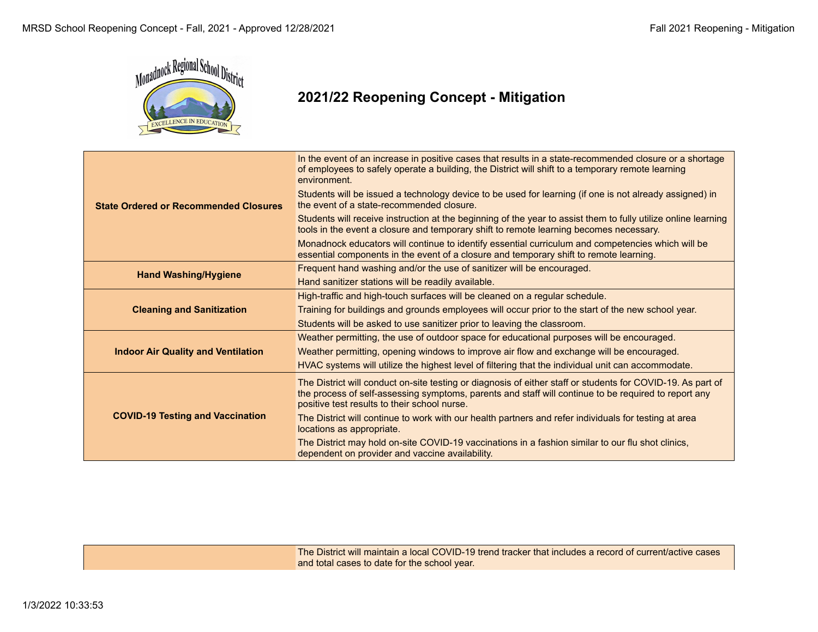

### **2021/22 Reopening Concept - Mitigation**

|                                              | In the event of an increase in positive cases that results in a state-recommended closure or a shortage<br>of employees to safely operate a building, the District will shift to a temporary remote learning<br>environment.                                        |
|----------------------------------------------|---------------------------------------------------------------------------------------------------------------------------------------------------------------------------------------------------------------------------------------------------------------------|
| <b>State Ordered or Recommended Closures</b> | Students will be issued a technology device to be used for learning (if one is not already assigned) in<br>the event of a state-recommended closure.                                                                                                                |
|                                              | Students will receive instruction at the beginning of the year to assist them to fully utilize online learning<br>tools in the event a closure and temporary shift to remote learning becomes necessary.                                                            |
|                                              | Monadnock educators will continue to identify essential curriculum and competencies which will be<br>essential components in the event of a closure and temporary shift to remote learning.                                                                         |
|                                              | Frequent hand washing and/or the use of sanitizer will be encouraged.                                                                                                                                                                                               |
| <b>Hand Washing/Hygiene</b>                  | Hand sanitizer stations will be readily available.                                                                                                                                                                                                                  |
|                                              | High-traffic and high-touch surfaces will be cleaned on a regular schedule.                                                                                                                                                                                         |
| <b>Cleaning and Sanitization</b>             | Training for buildings and grounds employees will occur prior to the start of the new school year.                                                                                                                                                                  |
|                                              | Students will be asked to use sanitizer prior to leaving the classroom.                                                                                                                                                                                             |
|                                              | Weather permitting, the use of outdoor space for educational purposes will be encouraged.                                                                                                                                                                           |
| <b>Indoor Air Quality and Ventilation</b>    | Weather permitting, opening windows to improve air flow and exchange will be encouraged.                                                                                                                                                                            |
|                                              | HVAC systems will utilize the highest level of filtering that the individual unit can accommodate.                                                                                                                                                                  |
|                                              | The District will conduct on-site testing or diagnosis of either staff or students for COVID-19. As part of<br>the process of self-assessing symptoms, parents and staff will continue to be required to report any<br>positive test results to their school nurse. |
| <b>COVID-19 Testing and Vaccination</b>      | The District will continue to work with our health partners and refer individuals for testing at area<br>locations as appropriate.                                                                                                                                  |
|                                              | The District may hold on-site COVID-19 vaccinations in a fashion similar to our flu shot clinics,<br>dependent on provider and vaccine availability.                                                                                                                |

The District will maintain a local COVID-19 trend tracker that includes a record of current/active cases and total cases to date for the school year.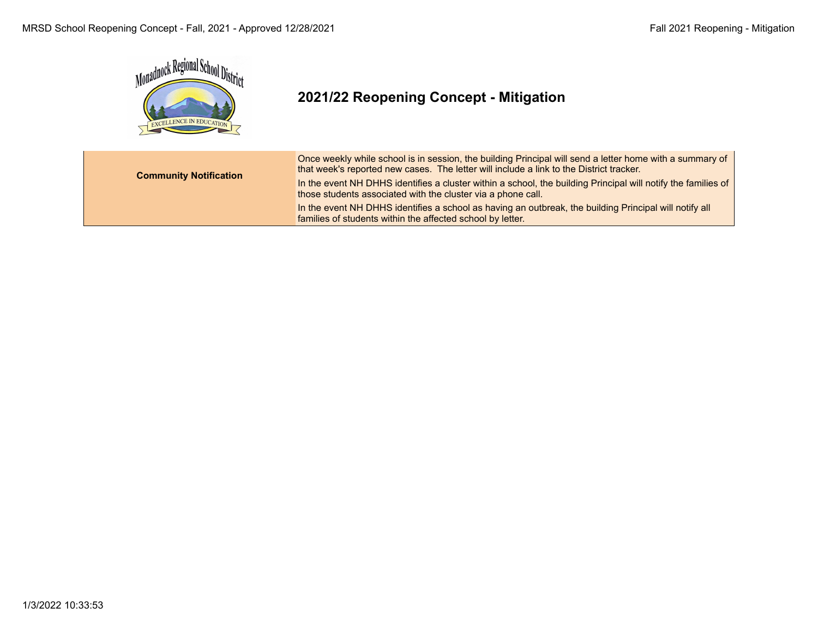

# **2021/22 Reopening Concept - Mitigation**

| <b>Community Notification</b> | Once weekly while school is in session, the building Principal will send a letter home with a summary of<br>that week's reported new cases. The letter will include a link to the District tracker. |
|-------------------------------|-----------------------------------------------------------------------------------------------------------------------------------------------------------------------------------------------------|
|                               | In the event NH DHHS identifies a cluster within a school, the building Principal will notify the families of<br>those students associated with the cluster via a phone call.                       |
|                               | In the event NH DHHS identifies a school as having an outbreak, the building Principal will notify all<br>families of students within the affected school by letter.                                |